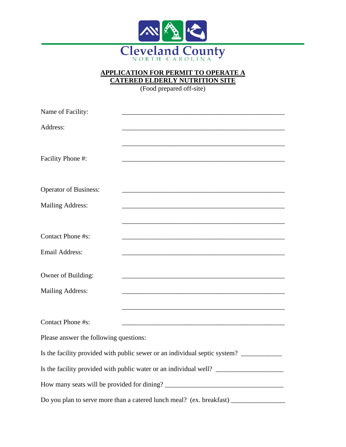

## **APPLICATION FOR PERMIT TO OPERATE A CATERED ELDERLY NUTRITION SITE**

(Food prepared off-site)

| Name of Facility:                                                                 |                                                                                                                      |  |
|-----------------------------------------------------------------------------------|----------------------------------------------------------------------------------------------------------------------|--|
| Address:                                                                          |                                                                                                                      |  |
|                                                                                   |                                                                                                                      |  |
|                                                                                   |                                                                                                                      |  |
| Facility Phone #:                                                                 |                                                                                                                      |  |
|                                                                                   |                                                                                                                      |  |
| <b>Operator of Business:</b>                                                      |                                                                                                                      |  |
| Mailing Address:                                                                  | <u> 1989 - Johann Stoff, amerikansk politiker (d. 1989)</u>                                                          |  |
|                                                                                   |                                                                                                                      |  |
| Contact Phone #s:                                                                 |                                                                                                                      |  |
|                                                                                   |                                                                                                                      |  |
| <b>Email Address:</b>                                                             |                                                                                                                      |  |
|                                                                                   |                                                                                                                      |  |
| Owner of Building:                                                                |                                                                                                                      |  |
| Mailing Address:                                                                  |                                                                                                                      |  |
|                                                                                   |                                                                                                                      |  |
| Contact Phone #s:                                                                 | <u> 1989 - Johann Stein, mars an deutscher Stein und der Stein und der Stein und der Stein und der Stein und der</u> |  |
|                                                                                   |                                                                                                                      |  |
| Please answer the following questions:                                            |                                                                                                                      |  |
| Is the facility provided with public sewer or an individual septic system?        |                                                                                                                      |  |
| Is the facility provided with public water or an individual well? _______________ |                                                                                                                      |  |
|                                                                                   |                                                                                                                      |  |
|                                                                                   |                                                                                                                      |  |